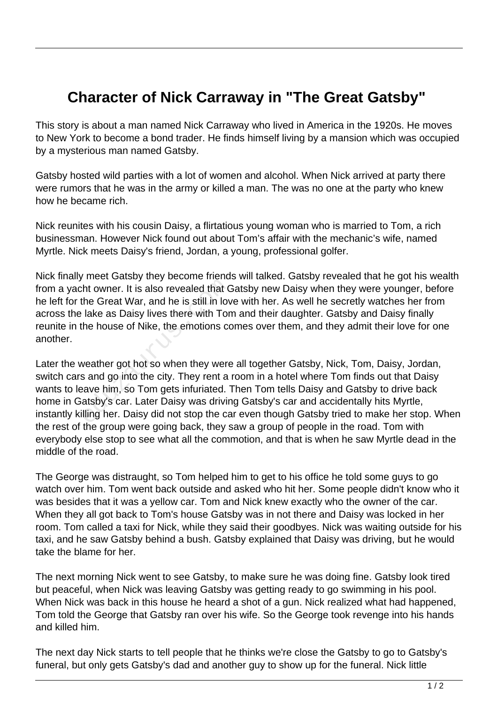## **Character of Nick Carraway in "The Great Gatsby"**

This story is about a man named Nick Carraway who lived in America in the 1920s. He moves to New York to become a bond trader. He finds himself living by a mansion which was occupied by a mysterious man named Gatsby.

Gatsby hosted wild parties with a lot of women and alcohol. When Nick arrived at party there were rumors that he was in the army or killed a man. The was no one at the party who knew how he became rich.

Nick reunites with his cousin Daisy, a flirtatious young woman who is married to Tom, a rich businessman. However Nick found out about Tom's affair with the mechanic's wife, named Myrtle. Nick meets Daisy's friend, Jordan, a young, professional golfer.

Nick finally meet Gatsby they become friends will talked. Gatsby revealed that he got his wealth from a yacht owner. It is also revealed that Gatsby new Daisy when they were younger, before he left for the Great War, and he is still in love with her. As well he secretly watches her from across the lake as Daisy lives there with Tom and their daughter. Gatsby and Daisy finally reunite in the house of Nike, the emotions comes over them, and they admit their love for one another.

Later the weather got hot so when they were all together Gatsby, Nick, Tom, Daisy, Jordan, switch cars and go into the city. They rent a room in a hotel where Tom finds out that Daisy wants to leave him, so Tom gets infuriated. Then Tom tells Daisy and Gatsby to drive back home in Gatsby's car. Later Daisy was driving Gatsby's car and accidentally hits Myrtle, instantly killing her. Daisy did not stop the car even though Gatsby tried to make her stop. When the rest of the group were going back, they saw a group of people in the road. Tom with everybody else stop to see what all the commotion, and that is when he saw Myrtle dead in the middle of the road. Information and he is still in low<br>the Great War, and he is still in low<br>lake as Daisy lives there with Tor<br>the house of Nike, the emotions contract the house of Nike, the emotions contract<br>weather got hot so when they wer

The George was distraught, so Tom helped him to get to his office he told some guys to go watch over him. Tom went back outside and asked who hit her. Some people didn't know who it was besides that it was a yellow car. Tom and Nick knew exactly who the owner of the car. When they all got back to Tom's house Gatsby was in not there and Daisy was locked in her room. Tom called a taxi for Nick, while they said their goodbyes. Nick was waiting outside for his taxi, and he saw Gatsby behind a bush. Gatsby explained that Daisy was driving, but he would take the blame for her.

The next morning Nick went to see Gatsby, to make sure he was doing fine. Gatsby look tired but peaceful, when Nick was leaving Gatsby was getting ready to go swimming in his pool. When Nick was back in this house he heard a shot of a gun. Nick realized what had happened, Tom told the George that Gatsby ran over his wife. So the George took revenge into his hands and killed him.

The next day Nick starts to tell people that he thinks we're close the Gatsby to go to Gatsby's funeral, but only gets Gatsby's dad and another guy to show up for the funeral. Nick little